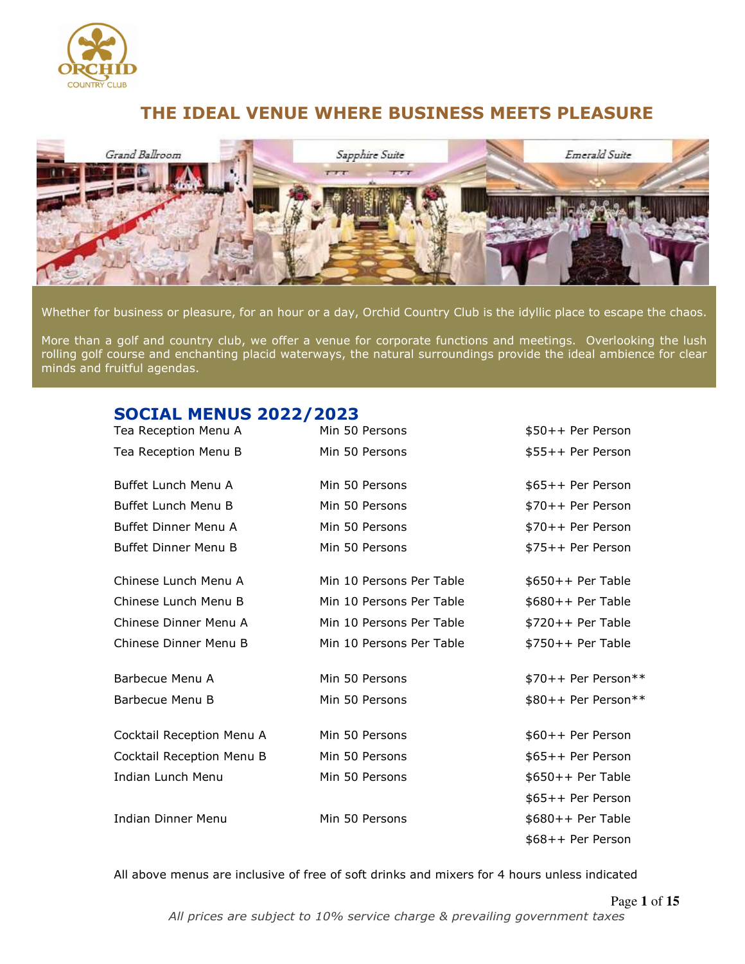

# **THE IDEAL VENUE WHERE BUSINESS MEETS PLEASURE**



Whether for business or pleasure, for an hour or a day, Orchid Country Club is the idyllic place to escape the chaos.

More than a golf and country club, we offer a venue for corporate functions and meetings. Overlooking the lush rolling golf course and enchanting placid waterways, the natural surroundings provide the ideal ambience for clear minds and fruitful agendas.

# **SOCIAL MENUS 2022/2023**

| Tea Reception Menu A        | Min 50 Persons           | \$50++ Per Person   |
|-----------------------------|--------------------------|---------------------|
| Tea Reception Menu B        | Min 50 Persons           | \$55++ Per Person   |
| Buffet Lunch Menu A         | Min 50 Persons           | \$65++ Per Person   |
| Buffet Lunch Menu B         | Min 50 Persons           | \$70++ Per Person   |
| Buffet Dinner Menu A        | Min 50 Persons           | \$70++ Per Person   |
| <b>Buffet Dinner Menu B</b> | Min 50 Persons           | \$75++ Per Person   |
| Chinese Lunch Menu A        | Min 10 Persons Per Table | $$650++$ Per Table  |
| Chinese Lunch Menu B        | Min 10 Persons Per Table | $$680++$ Per Table  |
| Chinese Dinner Menu A       | Min 10 Persons Per Table | $$720++$ Per Table  |
| Chinese Dinner Menu B       | Min 10 Persons Per Table | $$750++$ Per Table  |
| Barbecue Menu A             | Min 50 Persons           | \$70++ Per Person** |
| Barbecue Menu B             | Min 50 Persons           | \$80++ Per Person** |
| Cocktail Reception Menu A   | Min 50 Persons           | \$60++ Per Person   |
| Cocktail Reception Menu B   | Min 50 Persons           | \$65++ Per Person   |
| Indian Lunch Menu           | Min 50 Persons           | $$650++$ Per Table  |
|                             |                          | \$65++ Per Person   |
| <b>Indian Dinner Menu</b>   | Min 50 Persons           | $$680++$ Per Table  |
|                             |                          | \$68++ Per Person   |

All above menus are inclusive of free of soft drinks and mixers for 4 hours unless indicated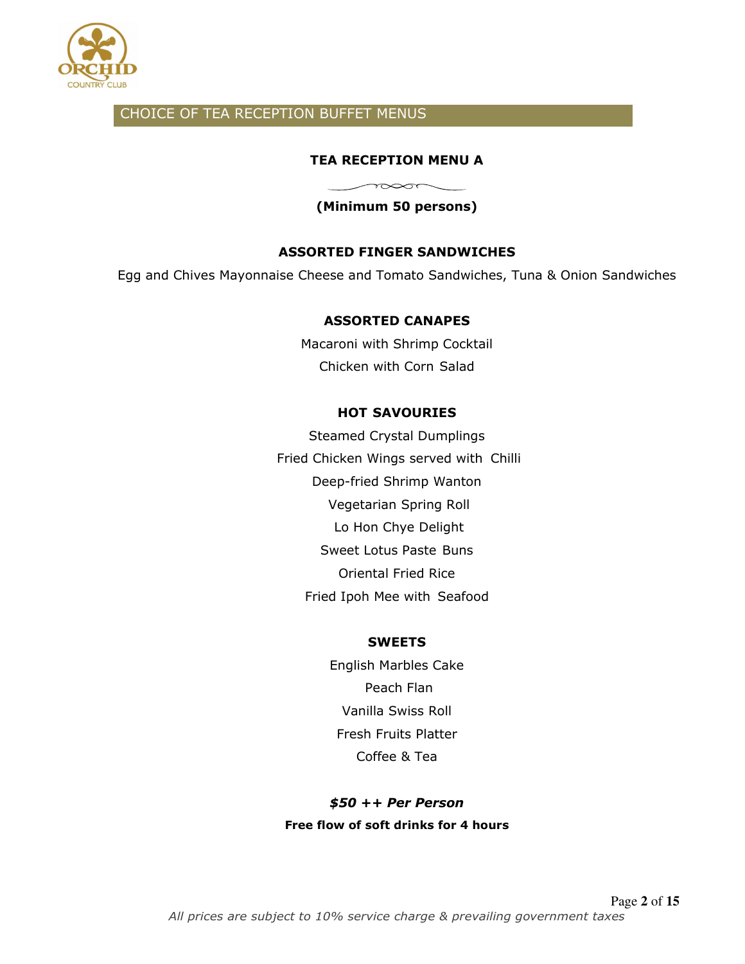

## CHOICE OF TEA RECEPTION BUFFET MENUS

## **TEA RECEPTION MENU A**

**(Minimum 50 persons)** 

 $\sim$ 

## **ASSORTED FINGER SANDWICHES**

Egg and Chives Mayonnaise Cheese and Tomato Sandwiches, Tuna & Onion Sandwiches

### **ASSORTED CANAPES**

Macaroni with Shrimp Cocktail Chicken with Corn Salad

### **HOT SAVOURIES**

Steamed Crystal Dumplings Fried Chicken Wings served with Chilli Deep-fried Shrimp Wanton Vegetarian Spring Roll Lo Hon Chye Delight Sweet Lotus Paste Buns Oriental Fried Rice Fried Ipoh Mee with Seafood

### **SWEETS**

English Marbles Cake Peach Flan Vanilla Swiss Roll Fresh Fruits Platter Coffee & Tea

*\$50 ++ Per Person*  **Free flow of soft drinks for 4 hours**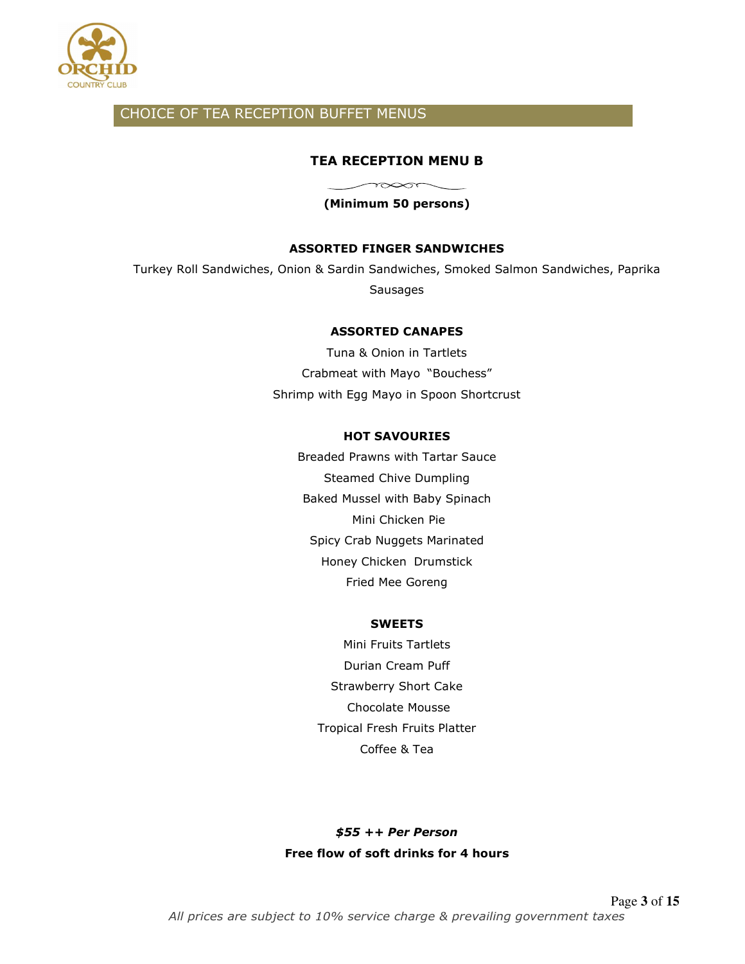

## CHOICE OF TEA RECEPTION BUFFET MENUS

### **TEA RECEPTION MENU B**

**(Minimum 50 persons)** 

 $\gamma$ 

### **ASSORTED FINGER SANDWICHES**

Turkey Roll Sandwiches, Onion & Sardin Sandwiches, Smoked Salmon Sandwiches, Paprika Sausages

#### **ASSORTED CANAPES**

Tuna & Onion in Tartlets Crabmeat with Mayo "Bouchess" Shrimp with Egg Mayo in Spoon Shortcrust

### **HOT SAVOURIES**

Breaded Prawns with Tartar Sauce Steamed Chive Dumpling Baked Mussel with Baby Spinach Mini Chicken Pie Spicy Crab Nuggets Marinated Honey Chicken Drumstick Fried Mee Goreng

#### **SWEETS**

Mini Fruits Tartlets Durian Cream Puff Strawberry Short Cake Chocolate Mousse Tropical Fresh Fruits Platter Coffee & Tea

*\$55 ++ Per Person*  **Free flow of soft drinks for 4 hours**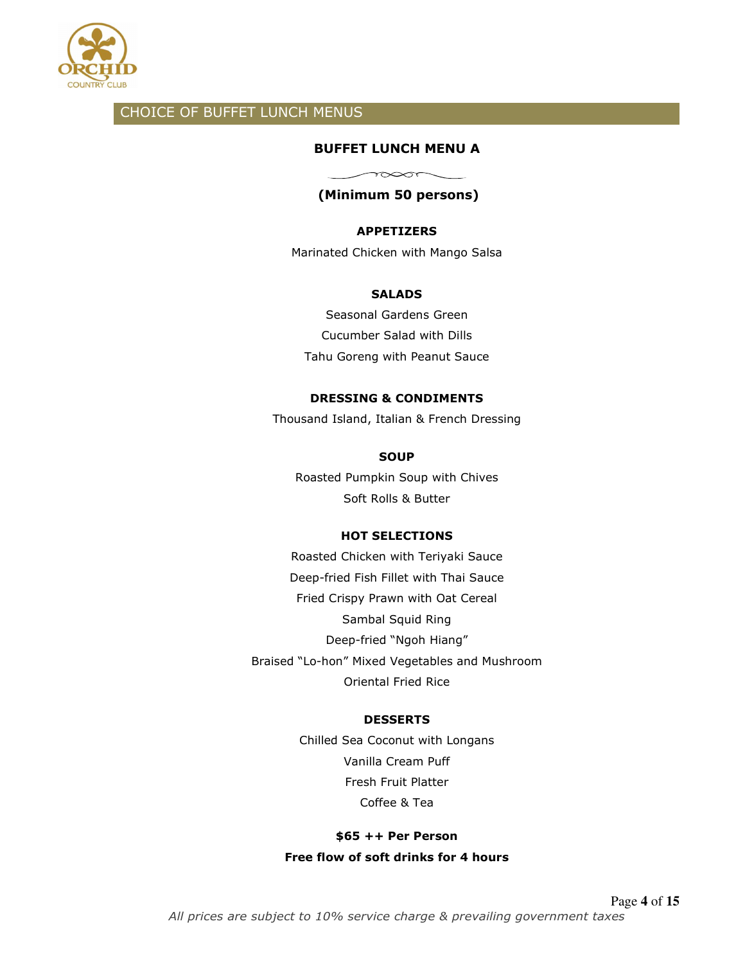

## CHOICE OF BUFFET LUNCH MENUS

### **BUFFET LUNCH MENU A**

 $\sim$ 

## **(Minimum 50 persons)**

### **APPETIZERS**

Marinated Chicken with Mango Salsa

### **SALADS**

Seasonal Gardens Green Cucumber Salad with Dills Tahu Goreng with Peanut Sauce

### **DRESSING & CONDIMENTS**

Thousand Island, Italian & French Dressing

### **SOUP**

Roasted Pumpkin Soup with Chives Soft Rolls & Butter

### **HOT SELECTIONS**

Roasted Chicken with Teriyaki Sauce Deep-fried Fish Fillet with Thai Sauce Fried Crispy Prawn with Oat Cereal Sambal Squid Ring Deep-fried "Ngoh Hiang" Braised "Lo-hon" Mixed Vegetables and Mushroom Oriental Fried Rice

### **DESSERTS**

Chilled Sea Coconut with Longans Vanilla Cream Puff Fresh Fruit Platter Coffee & Tea

## **\$65 ++ Per Person Free flow of soft drinks for 4 hours**

Page **4** of **15** *All prices are subject to 10% service charge & prevailing government taxes*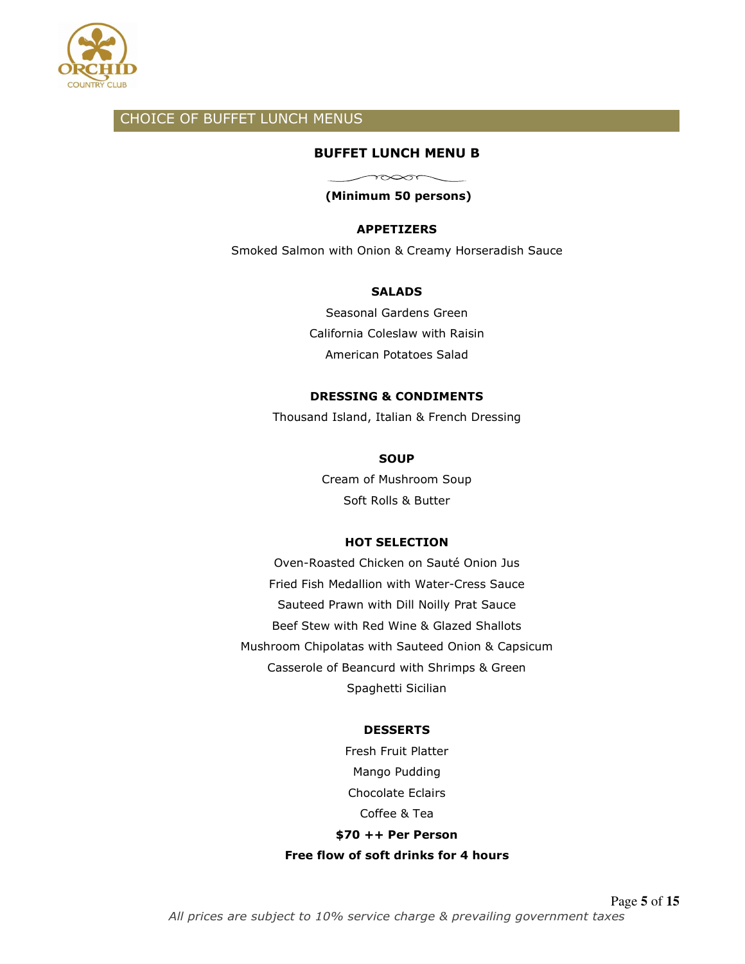

## CHOICE OF BUFFET LUNCH MENUS

### **BUFFET LUNCH MENU B**

 $\longrightarrow \infty$ **(Minimum 50 persons)** 

### **APPETIZERS**

Smoked Salmon with Onion & Creamy Horseradish Sauce

#### **SALADS**

Seasonal Gardens Green California Coleslaw with Raisin American Potatoes Salad

### **DRESSING & CONDIMENTS**

Thousand Island, Italian & French Dressing

### **SOUP**

Cream of Mushroom Soup Soft Rolls & Butter

### **HOT SELECTION**

Oven-Roasted Chicken on Sauté Onion Jus Fried Fish Medallion with Water-Cress Sauce Sauteed Prawn with Dill Noilly Prat Sauce Beef Stew with Red Wine & Glazed Shallots Mushroom Chipolatas with Sauteed Onion & Capsicum Casserole of Beancurd with Shrimps & Green Spaghetti Sicilian

#### **DESSERTS**

Fresh Fruit Platter Mango Pudding Chocolate Eclairs Coffee & Tea **\$70 ++ Per Person** 

**Free flow of soft drinks for 4 hours**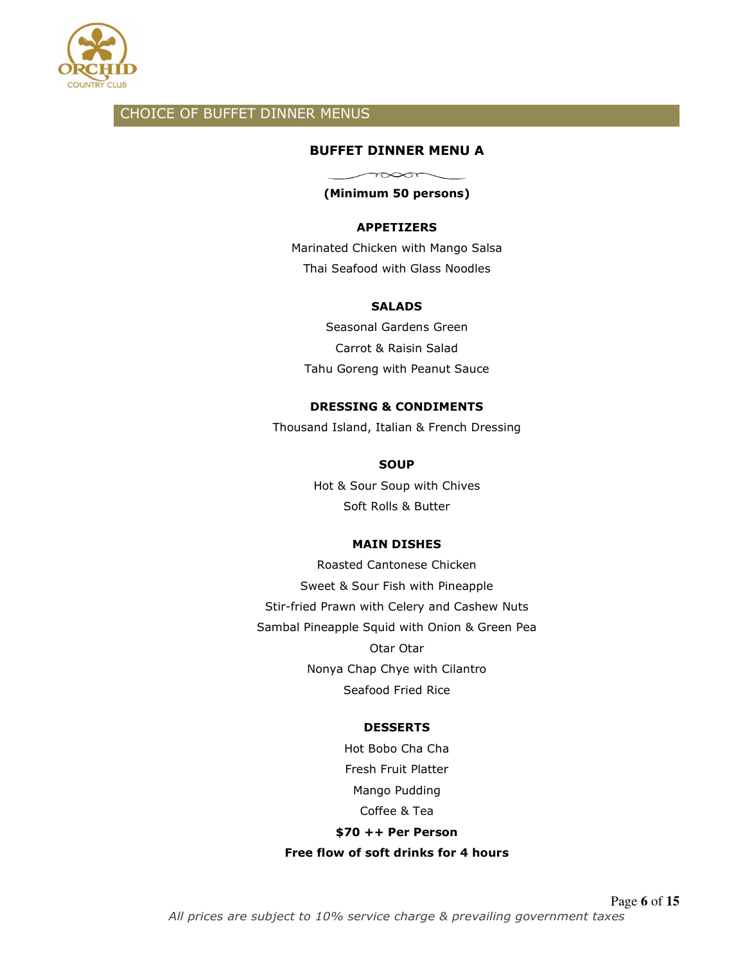

## CHOICE OF BUFFET DINNER MENUS

### **BUFFET DINNER MENU A**

 $\longrightarrow$ 

## **(Minimum 50 persons)**

### **APPETIZERS**

Marinated Chicken with Mango Salsa Thai Seafood with Glass Noodles

#### **SALADS**

Seasonal Gardens Green Carrot & Raisin Salad Tahu Goreng with Peanut Sauce

#### **DRESSING & CONDIMENTS**

Thousand Island, Italian & French Dressing

#### **SOUP**

Hot & Sour Soup with Chives Soft Rolls & Butter

### **MAIN DISHES**

Roasted Cantonese Chicken Sweet & Sour Fish with Pineapple Stir-fried Prawn with Celery and Cashew Nuts Sambal Pineapple Squid with Onion & Green Pea Otar Otar Nonya Chap Chye with Cilantro Seafood Fried Rice

#### **DESSERTS**

Hot Bobo Cha Cha Fresh Fruit Platter Mango Pudding Coffee & Tea **\$70 ++ Per Person Free flow of soft drinks for 4 hours**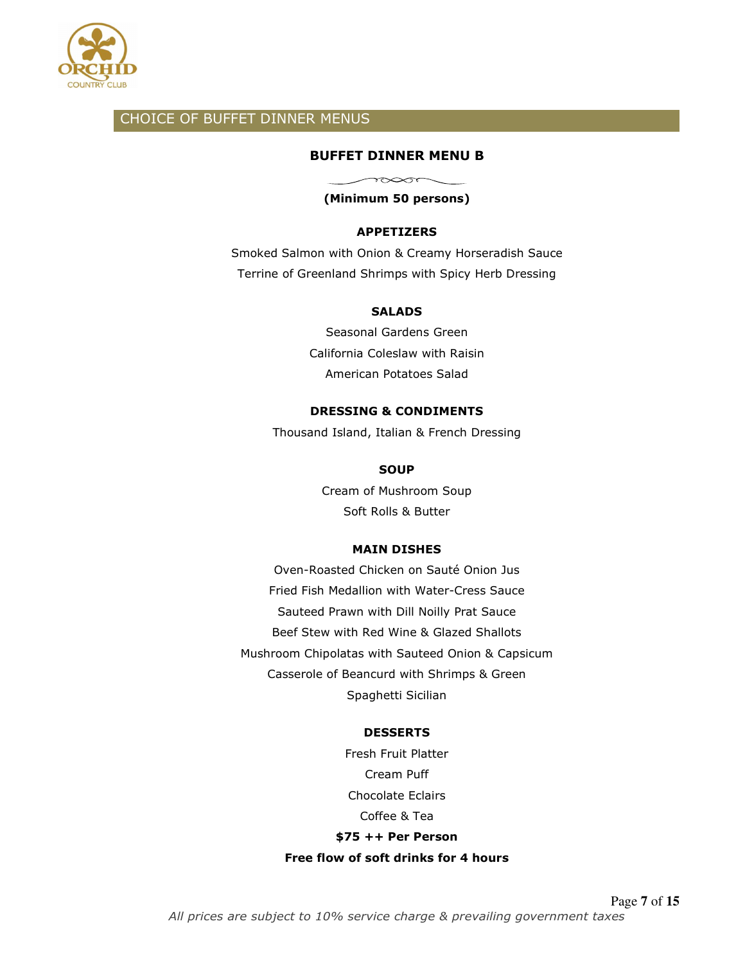

## CHOICE OF BUFFET DINNER MENUS

### **BUFFET DINNER MENU B**

 $\sim$ **(Minimum 50 persons)** 

#### **APPETIZERS**

Smoked Salmon with Onion & Creamy Horseradish Sauce Terrine of Greenland Shrimps with Spicy Herb Dressing

#### **SALADS**

Seasonal Gardens Green California Coleslaw with Raisin American Potatoes Salad

### **DRESSING & CONDIMENTS**

Thousand Island, Italian & French Dressing

#### **SOUP**

Cream of Mushroom Soup Soft Rolls & Butter

#### **MAIN DISHES**

Oven-Roasted Chicken on Sauté Onion Jus Fried Fish Medallion with Water-Cress Sauce Sauteed Prawn with Dill Noilly Prat Sauce Beef Stew with Red Wine & Glazed Shallots Mushroom Chipolatas with Sauteed Onion & Capsicum Casserole of Beancurd with Shrimps & Green Spaghetti Sicilian

#### **DESSERTS**

Fresh Fruit Platter Cream Puff Chocolate Eclairs Coffee & Tea **\$75 ++ Per Person Free flow of soft drinks for 4 hours**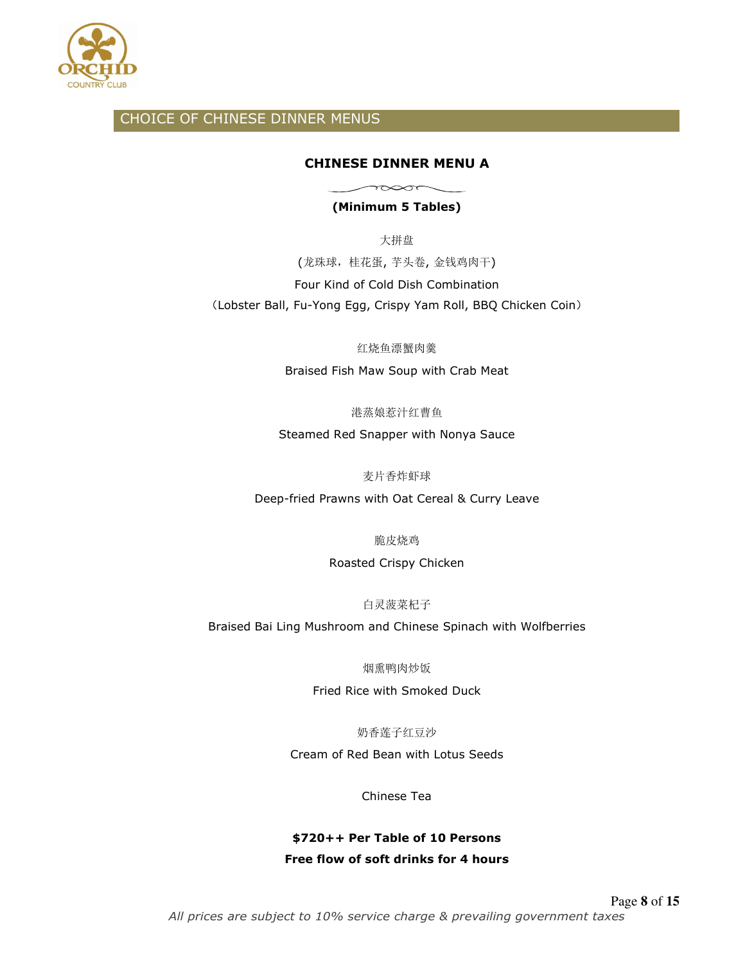

## CHOICE OF CHINESE DINNER MENUS

### **CHINESE DINNER MENU A**

## $\sim$ **(Minimum 5 Tables)**

大拼盘 (龙珠球,桂花蛋, 芋头卷, 金钱鸡肉干) Four Kind of Cold Dish Combination (Lobster Ball, Fu-Yong Egg, Crispy Yam Roll, BBQ Chicken Coin)

红烧鱼漂蟹肉羹

Braised Fish Maw Soup with Crab Meat

港蒸娘惹汁红曹鱼

Steamed Red Snapper with Nonya Sauce

麦片香炸虾球

Deep-fried Prawns with Oat Cereal & Curry Leave

脆皮烧鸡

Roasted Crispy Chicken

白灵菠菜杞子

Braised Bai Ling Mushroom and Chinese Spinach with Wolfberries

烟熏鸭肉炒饭

Fried Rice with Smoked Duck

奶香莲子红豆沙

Cream of Red Bean with Lotus Seeds

Chinese Tea

## **\$720++ Per Table of 10 Persons Free flow of soft drinks for 4 hours**

Page **8** of **15** *All prices are subject to 10% service charge & prevailing government taxes*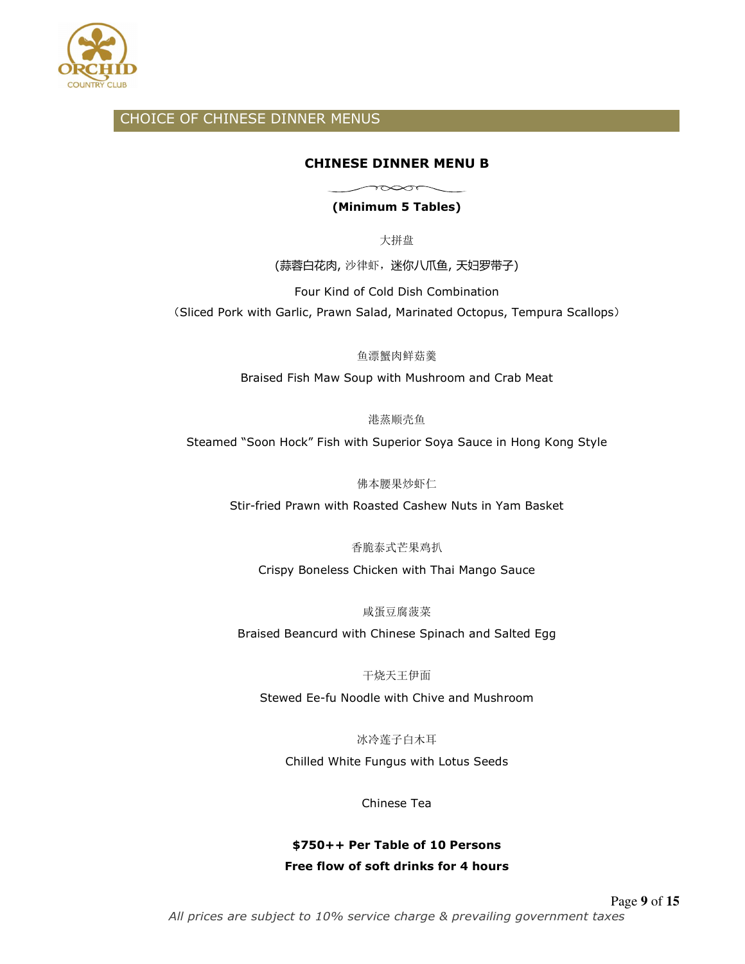

## CHOICE OF CHINESE DINNER MENUS

### **CHINESE DINNER MENU B**

 $\sim$ 

**(Minimum 5 Tables)** 

大拼盘

(蒜蓉白花肉, 沙律虾,迷你八爪鱼, 天妇罗带子)

Four Kind of Cold Dish Combination

(Sliced Pork with Garlic, Prawn Salad, Marinated Octopus, Tempura Scallops)

鱼漂蟹肉鲜菇羹

Braised Fish Maw Soup with Mushroom and Crab Meat

港蒸顺壳鱼

Steamed "Soon Hock" Fish with Superior Soya Sauce in Hong Kong Style

佛本腰果炒虾仁

Stir-fried Prawn with Roasted Cashew Nuts in Yam Basket

香脆泰式芒果鸡扒

Crispy Boneless Chicken with Thai Mango Sauce

咸蛋豆腐菠菜

Braised Beancurd with Chinese Spinach and Salted Egg

干烧天王伊面

Stewed Ee-fu Noodle with Chive and Mushroom

冰冷莲子白木耳

Chilled White Fungus with Lotus Seeds

Chinese Tea

## **\$750++ Per Table of 10 Persons Free flow of soft drinks for 4 hours**

Page **9** of **15** *All prices are subject to 10% service charge & prevailing government taxes*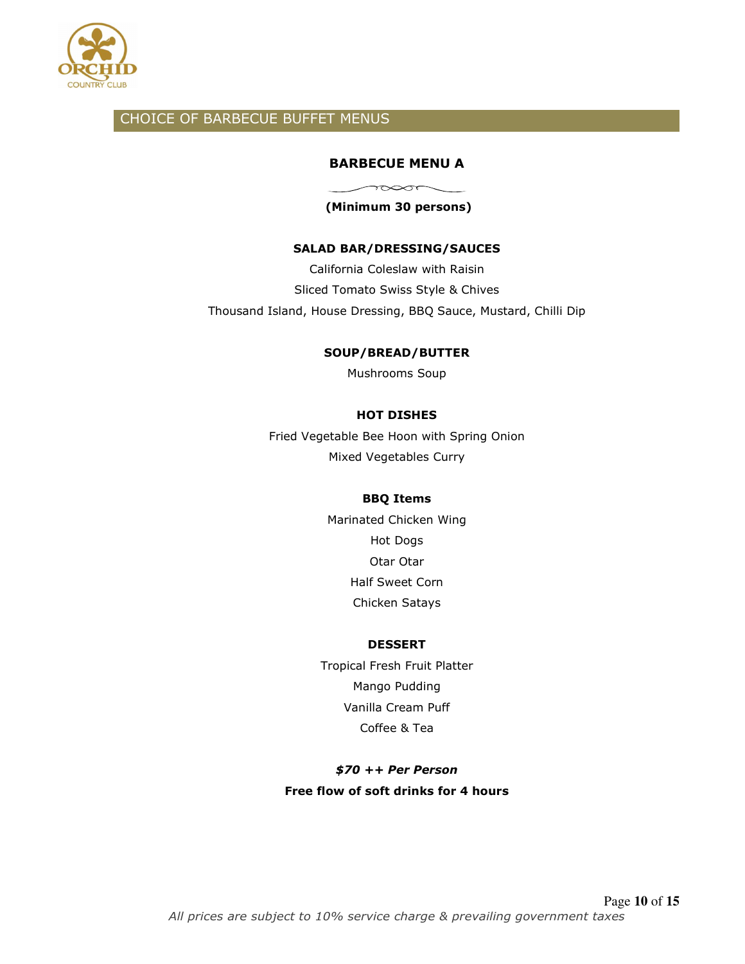

## CHOICE OF BARBECUE BUFFET MENUS

### **BARBECUE MENU A**

 $\sim$ 

 **(Minimum 30 persons)** 

### **SALAD BAR/DRESSING/SAUCES**

California Coleslaw with Raisin Sliced Tomato Swiss Style & Chives Thousand Island, House Dressing, BBQ Sauce, Mustard, Chilli Dip

#### **SOUP/BREAD/BUTTER**

Mushrooms Soup

### **HOT DISHES**

Fried Vegetable Bee Hoon with Spring Onion Mixed Vegetables Curry

#### **BBQ Items**

Marinated Chicken Wing Hot Dogs Otar Otar Half Sweet Corn Chicken Satays

#### **DESSERT**

Tropical Fresh Fruit Platter Mango Pudding Vanilla Cream Puff Coffee & Tea

## *\$70 ++ Per Person*  **Free flow of soft drinks for 4 hours**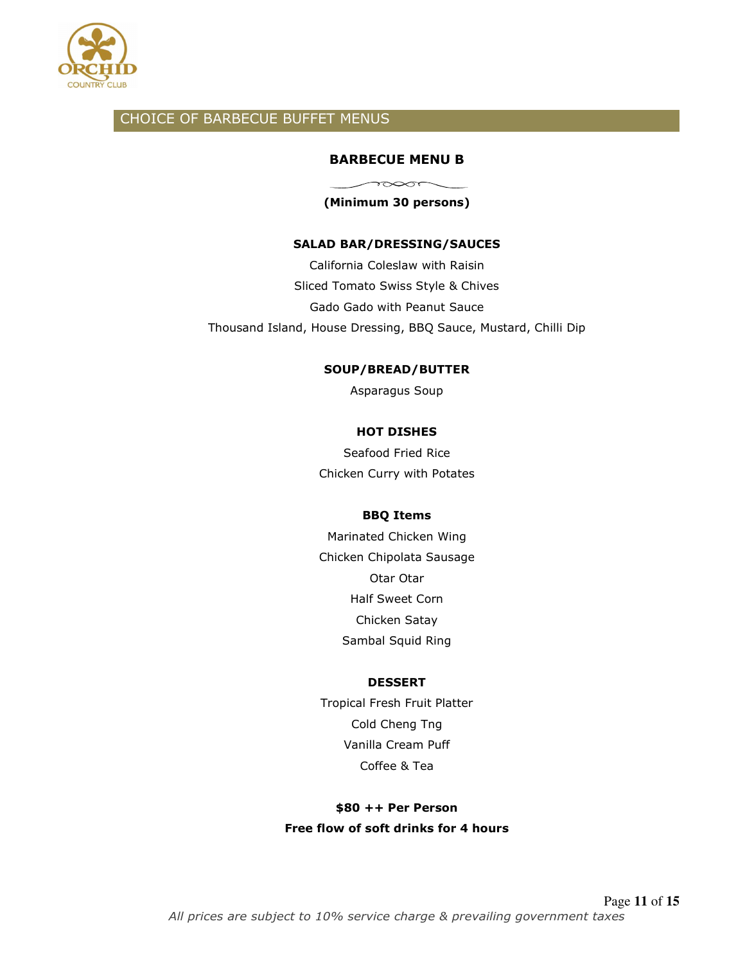

## CHOICE OF BARBECUE BUFFET MENUS

### **BARBECUE MENU B**

 $\sim$ **(Minimum 30 persons)** 

#### **SALAD BAR/DRESSING/SAUCES**

California Coleslaw with Raisin Sliced Tomato Swiss Style & Chives Gado Gado with Peanut Sauce Thousand Island, House Dressing, BBQ Sauce, Mustard, Chilli Dip

#### **SOUP/BREAD/BUTTER**

Asparagus Soup

#### **HOT DISHES**

Seafood Fried Rice Chicken Curry with Potates

### **BBQ Items**

Marinated Chicken Wing Chicken Chipolata Sausage Otar Otar Half Sweet Corn Chicken Satay Sambal Squid Ring

#### **DESSERT**

Tropical Fresh Fruit Platter Cold Cheng Tng Vanilla Cream Puff Coffee & Tea

**\$80 ++ Per Person Free flow of soft drinks for 4 hours**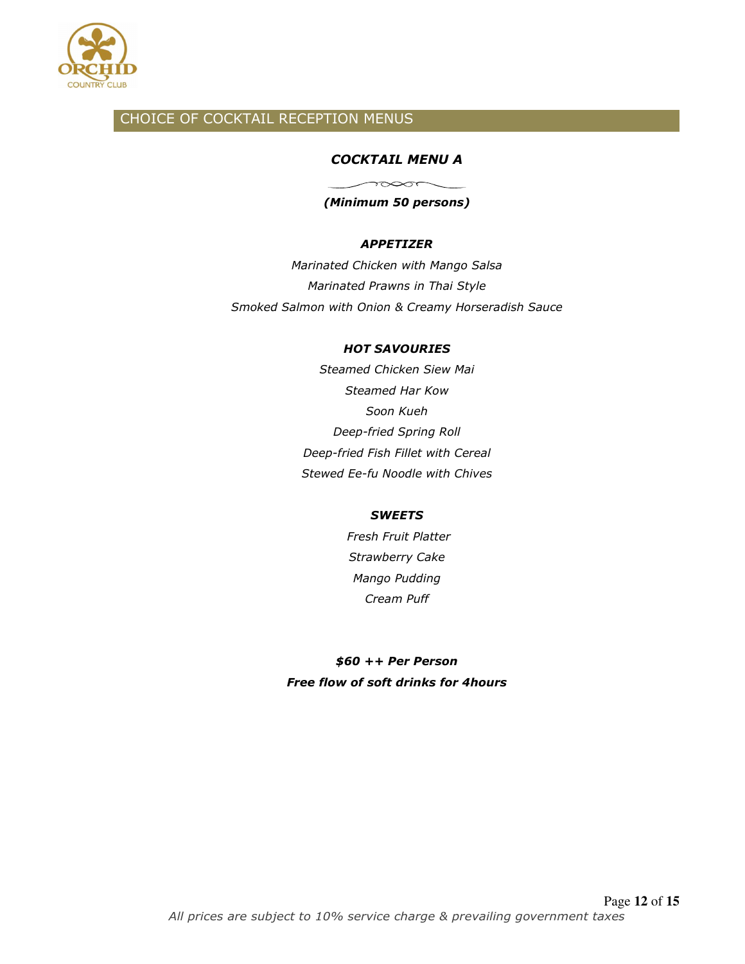

## CHOICE OF COCKTAIL RECEPTION MENUS

### *COCKTAIL MENU A*

*(Minimum 50 persons)* 

 $\sim$ 

### *APPETIZER*

*Marinated Chicken with Mango Salsa Marinated Prawns in Thai Style Smoked Salmon with Onion & Creamy Horseradish Sauce* 

### *HOT SAVOURIES*

*Steamed Chicken Siew Mai Steamed Har Kow Soon Kueh Deep-fried Spring Roll Deep-fried Fish Fillet with Cereal Stewed Ee-fu Noodle with Chives* 

### *SWEETS*

 *Fresh Fruit Platter Strawberry Cake Mango Pudding Cream Puff* 

*\$60 ++ Per Person Free flow of soft drinks for 4hours*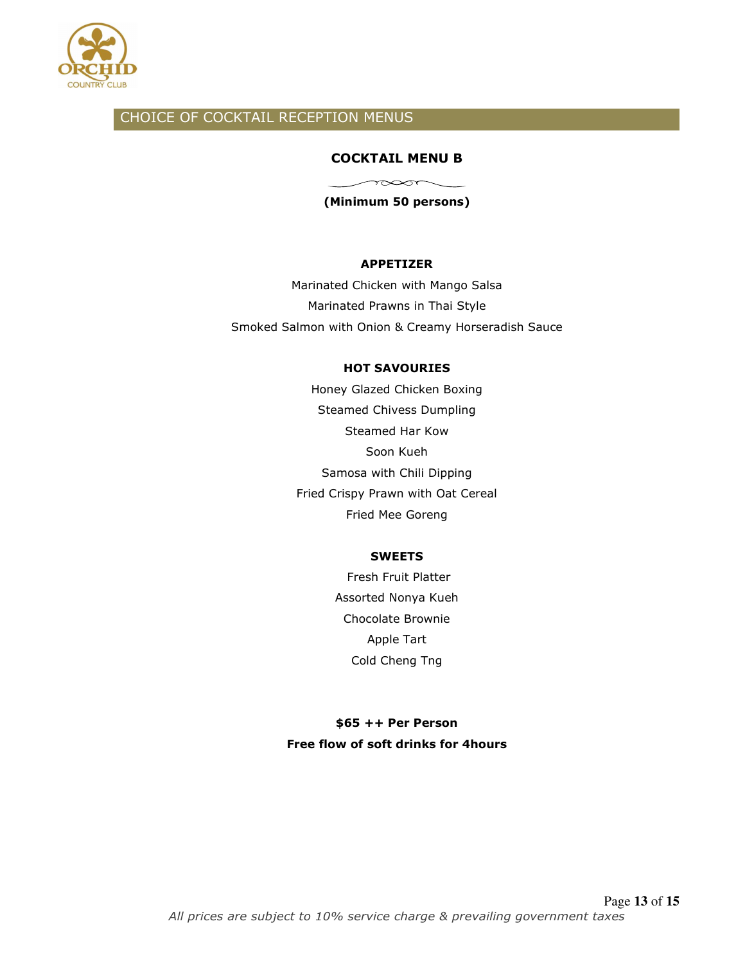

## CHOICE OF COCKTAIL RECEPTION MENUS

### **COCKTAIL MENU B**

**(Minimum 50 persons)** 

 $\overbrace{\phantom{133281}}^{\overbrace{\phantom{13324}}^{\phantom{\overbrace{\phantom{13324}}}}\qquad \qquad \overbrace{\phantom{13324}}^{\phantom{\overbrace{\phantom{1332}}}}$ 

#### **APPETIZER**

Marinated Chicken with Mango Salsa Marinated Prawns in Thai Style Smoked Salmon with Onion & Creamy Horseradish Sauce

### **HOT SAVOURIES**

Honey Glazed Chicken Boxing Steamed Chivess Dumpling Steamed Har Kow Soon Kueh Samosa with Chili Dipping Fried Crispy Prawn with Oat Cereal Fried Mee Goreng

### **SWEETS**

 Fresh Fruit Platter Assorted Nonya Kueh Chocolate Brownie Apple Tart Cold Cheng Tng

## **\$65 ++ Per Person Free flow of soft drinks for 4hours**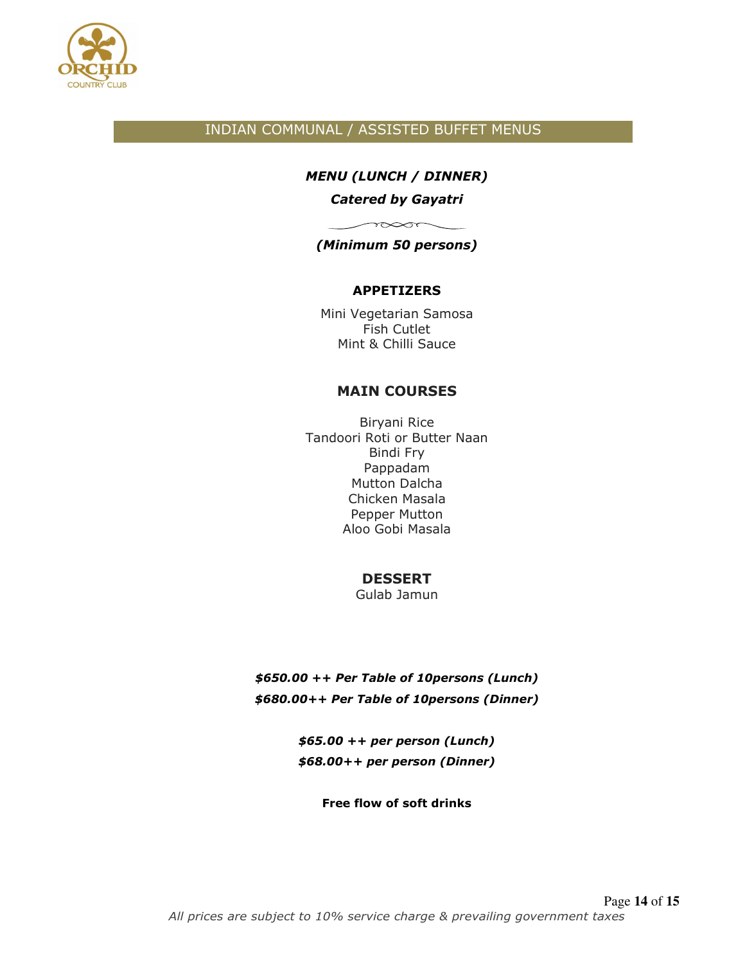

## INDIAN COMMUNAL / ASSISTED BUFFET MENUS

## *MENU (LUNCH / DINNER)*

### *Catered by Gayatri*

## $\sim$ *(Minimum 50 persons)*

## **APPETIZERS**

Mini Vegetarian Samosa Fish Cutlet Mint & Chilli Sauce

## **MAIN COURSES**

Biryani Rice Tandoori Roti or Butter Naan Bindi Fry Pappadam Mutton Dalcha Chicken Masala Pepper Mutton Aloo Gobi Masala

## **DESSERT**

Gulab Jamun

*\$650.00 ++ Per Table of 10persons (Lunch) \$680.00++ Per Table of 10persons (Dinner)* 

> *\$65.00 ++ per person (Lunch) \$68.00++ per person (Dinner)*

> > **Free flow of soft drinks**